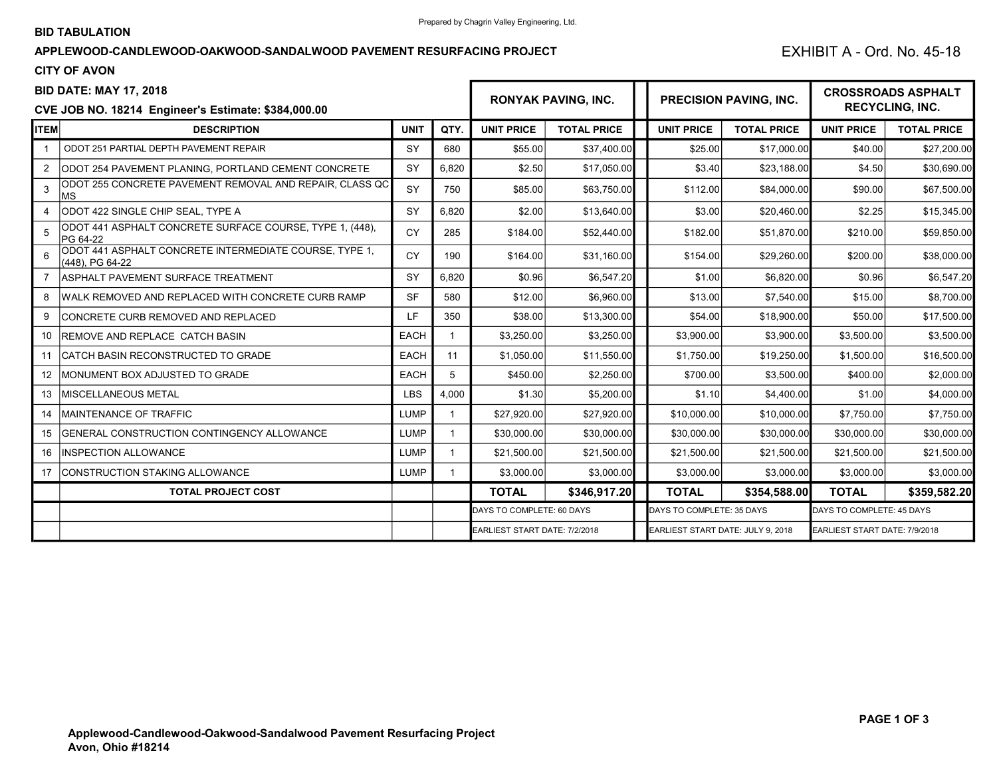## APPLEWOOD-CANDLEWOOD-OAKWOOD-SANDALWOOD PAVEMENT RESURFACING PROJECT EXHIBIT A - Ord. No. 45-18

## CITY OF AVON

| <b>BID DATE: MAY 17, 2018</b>                              |                                                                           |             |             | <b>RONYAK PAVING, INC.</b>    |                    |  | <b>PRECISION PAVING, INC.</b>     |                    | <b>CROSSROADS ASPHALT</b>     |                    |  |
|------------------------------------------------------------|---------------------------------------------------------------------------|-------------|-------------|-------------------------------|--------------------|--|-----------------------------------|--------------------|-------------------------------|--------------------|--|
| <b>CVE JOB NO. 18214 Engineer's Estimate: \$384,000.00</b> |                                                                           |             |             |                               |                    |  |                                   |                    | <b>RECYCLING, INC.</b>        |                    |  |
| ITEM                                                       | <b>DESCRIPTION</b>                                                        | <b>UNIT</b> | QTY.        | <b>UNIT PRICE</b>             | <b>TOTAL PRICE</b> |  | <b>UNIT PRICE</b>                 | <b>TOTAL PRICE</b> | <b>UNIT PRICE</b>             | <b>TOTAL PRICE</b> |  |
|                                                            | ODOT 251 PARTIAL DEPTH PAVEMENT REPAIR                                    | SY          | 680         | \$55.00                       | \$37,400.00        |  | \$25.00                           | \$17,000.00        | \$40.00                       | \$27,200.00        |  |
| $\overline{2}$                                             | ODOT 254 PAVEMENT PLANING. PORTLAND CEMENT CONCRETE                       | SY          | 6,820       | \$2.50                        | \$17,050.00        |  | \$3.40                            | \$23,188.00        | \$4.50                        | \$30,690.00        |  |
| 3                                                          | ODOT 255 CONCRETE PAVEMENT REMOVAL AND REPAIR, CLASS QC<br><b>MS</b>      | SY          | 750         | \$85.00                       | \$63,750.00        |  | \$112.00                          | \$84,000.00        | \$90.00                       | \$67,500.00        |  |
| 4                                                          | ODOT 422 SINGLE CHIP SEAL, TYPE A                                         | SY          | 6,820       | \$2.00                        | \$13,640.00        |  | \$3.00                            | \$20,460.00        | \$2.25                        | \$15,345.00        |  |
| 5                                                          | ODOT 441 ASPHALT CONCRETE SURFACE COURSE, TYPE 1, (448),<br>PG 64-22      | <b>CY</b>   | 285         | \$184.00                      | \$52,440.00        |  | \$182.00                          | \$51,870.00        | \$210.00                      | \$59,850.00        |  |
| 6                                                          | ODOT 441 ASPHALT CONCRETE INTERMEDIATE COURSE, TYPE 1,<br>(448). PG 64-22 | <b>CY</b>   | 190         | \$164.00                      | \$31,160.00        |  | \$154.00                          | \$29,260.00        | \$200.00                      | \$38,000.00        |  |
| $\overline{7}$                                             | <b>ASPHALT PAVEMENT SURFACE TREATMENT</b>                                 | SY          | 6,820       | \$0.96                        | \$6,547.20         |  | \$1.00                            | \$6,820.00         | \$0.96                        | \$6,547.20         |  |
| 8                                                          | WALK REMOVED AND REPLACED WITH CONCRETE CURB RAMP                         | <b>SF</b>   | 580         | \$12.00                       | \$6,960.00         |  | \$13.00                           | \$7,540.00         | \$15.00                       | \$8,700.00         |  |
| 9                                                          | CONCRETE CURB REMOVED AND REPLACED                                        | LF.         | 350         | \$38.00                       | \$13,300.00        |  | \$54.00                           | \$18,900.00        | \$50.00                       | \$17,500.00        |  |
| 10                                                         | REMOVE AND REPLACE CATCH BASIN                                            | <b>EACH</b> |             | \$3,250.00                    | \$3,250.00         |  | \$3,900.00                        | \$3,900.00         | \$3,500.00                    | \$3,500.00         |  |
| 11                                                         | CATCH BASIN RECONSTRUCTED TO GRADE                                        | <b>EACH</b> | 11          | \$1,050.00                    | \$11,550.00        |  | \$1,750.00                        | \$19,250.00        | \$1,500.00                    | \$16,500.00        |  |
| 12                                                         | MONUMENT BOX ADJUSTED TO GRADE                                            | <b>EACH</b> | 5           | \$450.00                      | \$2,250.00         |  | \$700.00                          | \$3,500.00         | \$400.00                      | \$2,000.00         |  |
| 13                                                         | <b>IMISCELLANEOUS METAL</b>                                               | <b>LBS</b>  | 4,000       | \$1.30                        | \$5,200.00         |  | \$1.10                            | \$4,400.00         | \$1.00                        | \$4,000.00         |  |
| 14                                                         | <b>MAINTENANCE OF TRAFFIC</b>                                             | <b>LUMP</b> |             | \$27,920.00                   | \$27,920.00        |  | \$10,000.00                       | \$10,000.00        | \$7,750.00                    | \$7,750.00         |  |
| 15                                                         | GENERAL CONSTRUCTION CONTINGENCY ALLOWANCE                                | LUMP        |             | \$30,000.00                   | \$30,000.00        |  | \$30,000.00                       | \$30,000.00        | \$30,000.00                   | \$30,000.00        |  |
| 16                                                         | <b>INSPECTION ALLOWANCE</b>                                               | <b>LUMP</b> | $\mathbf 1$ | \$21,500.00                   | \$21,500.00        |  | \$21,500.00                       | \$21,500.00        | \$21,500.00                   | \$21,500.00        |  |
| 17                                                         | <b>CONSTRUCTION STAKING ALLOWANCE</b>                                     | <b>LUMP</b> |             | \$3,000.00                    | \$3,000.00         |  | \$3,000.00                        | \$3,000.00         | \$3,000.00                    | \$3,000.00         |  |
|                                                            | <b>TOTAL PROJECT COST</b>                                                 |             |             | <b>TOTAL</b>                  | \$346,917.20       |  | <b>TOTAL</b>                      | \$354,588.00       | <b>TOTAL</b>                  | \$359,582.20       |  |
|                                                            |                                                                           |             |             | DAYS TO COMPLETE: 60 DAYS     |                    |  | DAYS TO COMPLETE: 35 DAYS         |                    | DAYS TO COMPLETE: 45 DAYS     |                    |  |
|                                                            |                                                                           |             |             | EARLIEST START DATE: 7/2/2018 |                    |  | EARLIEST START DATE: JULY 9, 2018 |                    | EARLIEST START DATE: 7/9/2018 |                    |  |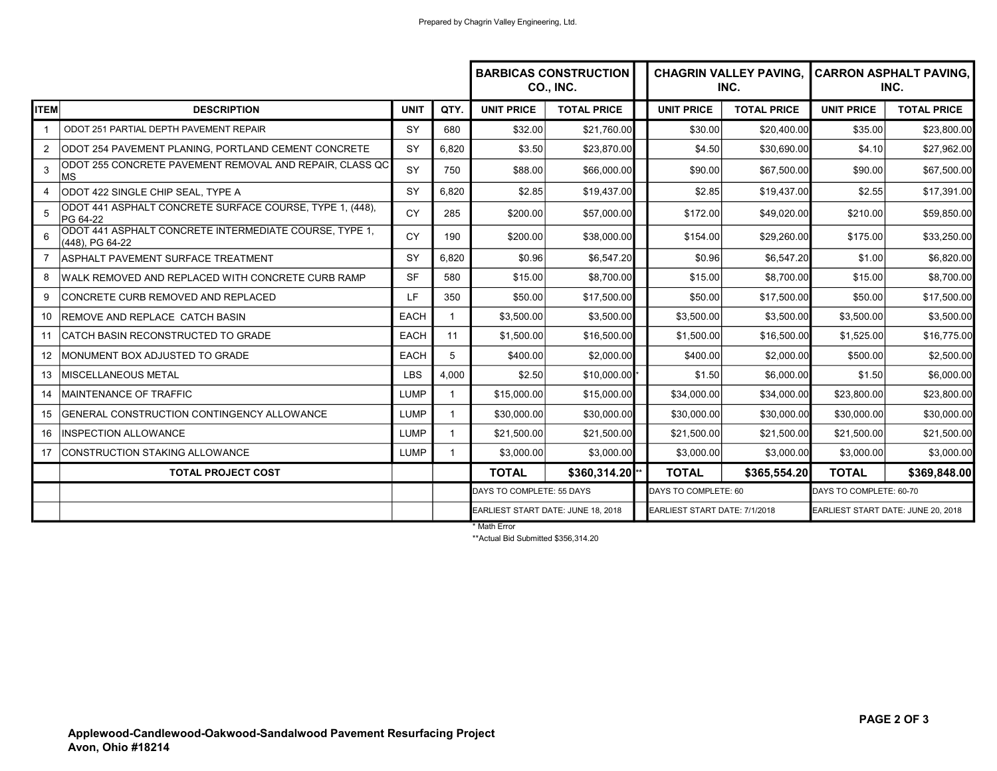|                   |                                                                           |             |                | <b>BARBICAS CONSTRUCTION</b><br>CO., INC. |                    |  | <b>CHAGRIN VALLEY PAVING, CARRON ASPHALT PAVING,</b><br>INC. |                    | INC.                               |                    |
|-------------------|---------------------------------------------------------------------------|-------------|----------------|-------------------------------------------|--------------------|--|--------------------------------------------------------------|--------------------|------------------------------------|--------------------|
| <b>ITEM</b>       | <b>DESCRIPTION</b>                                                        | <b>UNIT</b> | QTY.           | <b>UNIT PRICE</b>                         | <b>TOTAL PRICE</b> |  | <b>UNIT PRICE</b>                                            | <b>TOTAL PRICE</b> | <b>UNIT PRICE</b>                  | <b>TOTAL PRICE</b> |
| $\mathbf{1}$      | ODOT 251 PARTIAL DEPTH PAVEMENT REPAIR                                    | SY          | 680            | \$32.00                                   | \$21,760.00        |  | \$30.00                                                      | \$20.400.00        | \$35.00                            | \$23,800.00        |
| 2                 | ODOT 254 PAVEMENT PLANING, PORTLAND CEMENT CONCRETE                       | SY          | 6,820          | \$3.50                                    | \$23,870.00        |  | \$4.50                                                       | \$30,690.00        | \$4.10                             | \$27,962.00        |
| 3                 | ODOT 255 CONCRETE PAVEMENT REMOVAL AND REPAIR, CLASS QC<br><b>MS</b>      | SY          | 750            | \$88.00                                   | \$66,000.00        |  | \$90.00                                                      | \$67,500.00        | \$90.00                            | \$67,500.00        |
| 4                 | ODOT 422 SINGLE CHIP SEAL, TYPE A                                         | SY          | 6,820          | \$2.85                                    | \$19,437.00        |  | \$2.85                                                       | \$19,437.00        | \$2.55                             | \$17,391.00        |
| $\overline{5}$    | ODOT 441 ASPHALT CONCRETE SURFACE COURSE, TYPE 1, (448),<br>PG 64-22      | <b>CY</b>   | 285            | \$200.00                                  | \$57,000.00        |  | \$172.00                                                     | \$49,020.00        | \$210.00                           | \$59,850.00        |
| $\epsilon$        | ODOT 441 ASPHALT CONCRETE INTERMEDIATE COURSE, TYPE 1,<br>(448), PG 64-22 | <b>CY</b>   | 190            | \$200.00                                  | \$38,000.00        |  | \$154.00                                                     | \$29,260.00        | \$175.00                           | \$33,250.00        |
| $\overline{7}$    | ASPHALT PAVEMENT SURFACE TREATMENT                                        | SY          | 6,820          | \$0.96                                    | \$6,547.20         |  | \$0.96                                                       | \$6,547.20         | \$1.00                             | \$6,820.00         |
| 8                 | WALK REMOVED AND REPLACED WITH CONCRETE CURB RAMP                         | <b>SF</b>   | 580            | \$15.00                                   | \$8,700.00         |  | \$15.00                                                      | \$8,700.00         | \$15.00                            | \$8,700.00         |
| 9                 | CONCRETE CURB REMOVED AND REPLACED                                        | LF          | 350            | \$50.00                                   | \$17,500.00        |  | \$50.00                                                      | \$17,500.00        | \$50.00                            | \$17,500.00        |
| 10                | REMOVE AND REPLACE CATCH BASIN                                            | <b>EACH</b> |                | \$3,500.00                                | \$3,500.00         |  | \$3,500.00                                                   | \$3,500.00         | \$3,500.00                         | \$3,500.00         |
| 11                | ICATCH BASIN RECONSTRUCTED TO GRADE                                       | <b>EACH</b> | 11             | \$1,500.00                                | \$16,500.00        |  | \$1.500.00                                                   | \$16,500.00        | \$1,525.00                         | \$16,775.00        |
| $12 \overline{ }$ | IMONUMENT BOX ADJUSTED TO GRADE                                           | <b>EACH</b> | 5              | \$400.00                                  | \$2,000.00         |  | \$400.00                                                     | \$2,000.00         | \$500.00                           | \$2,500.00         |
| 13                | <b>MISCELLANEOUS METAL</b>                                                | <b>LBS</b>  | 4,000          | \$2.50                                    | \$10,000.00        |  | \$1.50                                                       | \$6.000.00         | \$1.50                             | \$6,000.00         |
| 14                | <b>MAINTENANCE OF TRAFFIC</b>                                             | <b>LUMP</b> |                | \$15,000.00                               | \$15,000.00        |  | \$34,000.00                                                  | \$34,000.00        | \$23,800.00                        | \$23,800.00        |
| 15                | GENERAL CONSTRUCTION CONTINGENCY ALLOWANCE                                | <b>LUMP</b> | $\overline{1}$ | \$30,000.00                               | \$30,000.00        |  | \$30,000.00                                                  | \$30,000.00        | \$30,000.00                        | \$30,000.00        |
| 16                | <b>INSPECTION ALLOWANCE</b>                                               | <b>LUMP</b> |                | \$21,500.00                               | \$21,500.00        |  | \$21,500.00                                                  | \$21,500.00        | \$21,500.00                        | \$21,500.00        |
| 17                | CONSTRUCTION STAKING ALLOWANCE                                            | <b>LUMP</b> | $\mathbf 1$    | \$3,000.00                                | \$3,000.00         |  | \$3,000.00                                                   | \$3,000.00         | \$3,000.00                         | \$3,000.00         |
|                   | <b>TOTAL PROJECT COST</b>                                                 |             |                | <b>TOTAL</b>                              | \$360,314.20       |  | <b>TOTAL</b>                                                 | \$365,554.20       | <b>TOTAL</b>                       | \$369,848.00       |
|                   |                                                                           |             |                | DAYS TO COMPLETE: 55 DAYS                 |                    |  | DAYS TO COMPLETE: 60                                         |                    | DAYS TO COMPLETE: 60-70            |                    |
|                   |                                                                           |             |                | EARLIEST START DATE: JUNE 18, 2018        |                    |  | EARLIEST START DATE: 7/1/2018                                |                    | EARLIEST START DATE: JUNE 20, 2018 |                    |

\* Math Error

\*\*Actual Bid Submitted \$356,314.20